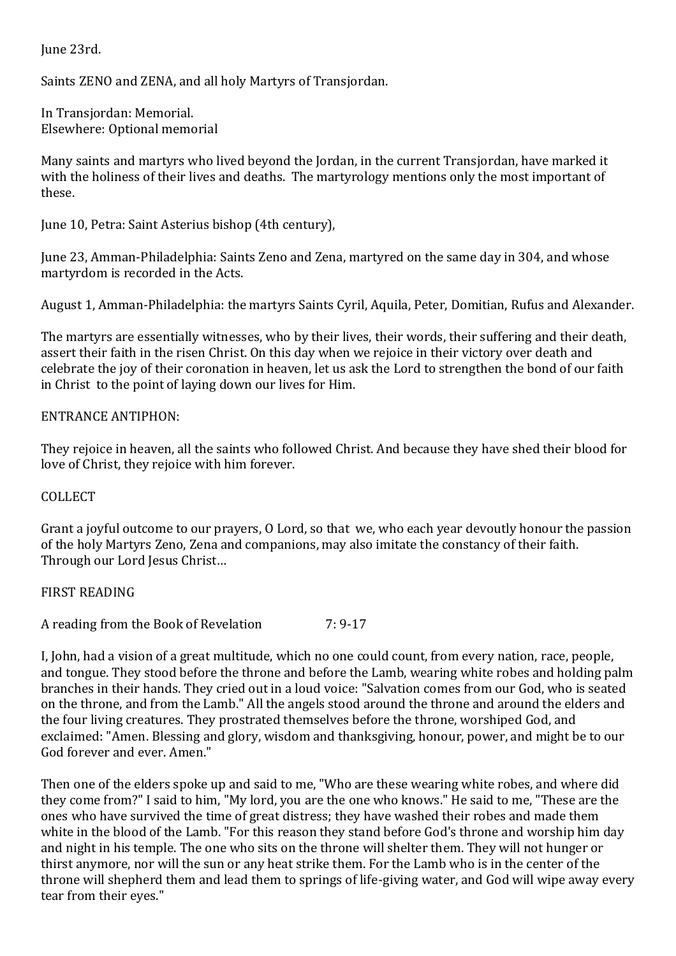June 23rd.

Saints ZENO and ZENA, and all holy Martyrs of Transjordan.

In Transjordan: Memorial. Elsewhere: Optional memorial

Many saints and martyrs who lived beyond the Jordan, in the current Transjordan, have marked it with the holiness of their lives and deaths. The martyrology mentions only the most important of these.

June 10, Petra: Saint Asterius bishop (4th century),

June 23, Amman-Philadelphia: Saints Zeno and Zena, martyred on the same day in 304, and whose martyrdom is recorded in the Acts.

August 1, Amman-Philadelphia: the martyrs Saints Cyril, Aquila, Peter, Domitian, Rufus and Alexander.

The martyrs are essentially witnesses, who by their lives, their words, their suffering and their death, assert their faith in the risen Christ. On this day when we rejoice in their victory over death and celebrate the joy of their coronation in heaven, let us ask the Lord to strengthen the bond of our faith in Christ to the point of laying down our lives for Him.

## ENTRANCE ANTIPHON:

They rejoice in heaven, all the saints who followed Christ. And because they have shed their blood for love of Christ, they rejoice with him forever.

## COLLECT

Grant a joyful outcome to our prayers, O Lord, so that we, who each year devoutly honour the passion of the holy Martyrs Zeno, Zena and companions, may also imitate the constancy of their faith. Through our Lord Jesus Christ…

## FIRST READING

A reading from the Book of Revelation 7: 9-17

I, John, had a vision of a great multitude, which no one could count, from every nation, race, people, and tongue. They stood before the throne and before the Lamb, wearing white robes and holding palm branches in their hands. They cried out in a loud voice: "Salvation comes from our God, who is seated on the throne, and from the Lamb." All the angels stood around the throne and around the elders and the four living creatures. They prostrated themselves before the throne, worshiped God, and exclaimed: "Amen. Blessing and glory, wisdom and thanksgiving, honour, power, and might be to our God forever and ever. Amen."

Then one of the elders spoke up and said to me, "Who are these wearing white robes, and where did they come from?" I said to him, "My lord, you are the one who knows." He said to me, "These are the ones who have survived the time of great distress; they have washed their robes and made them white in the blood of the Lamb. "For this reason they stand before God's throne and worship him day and night in his temple. The one who sits on the throne will shelter them. They will not hunger or thirst anymore, nor will the sun or any heat strike them. For the Lamb who is in the center of the throne will shepherd them and lead them to springs of life-giving water, and God will wipe away every tear from their eyes."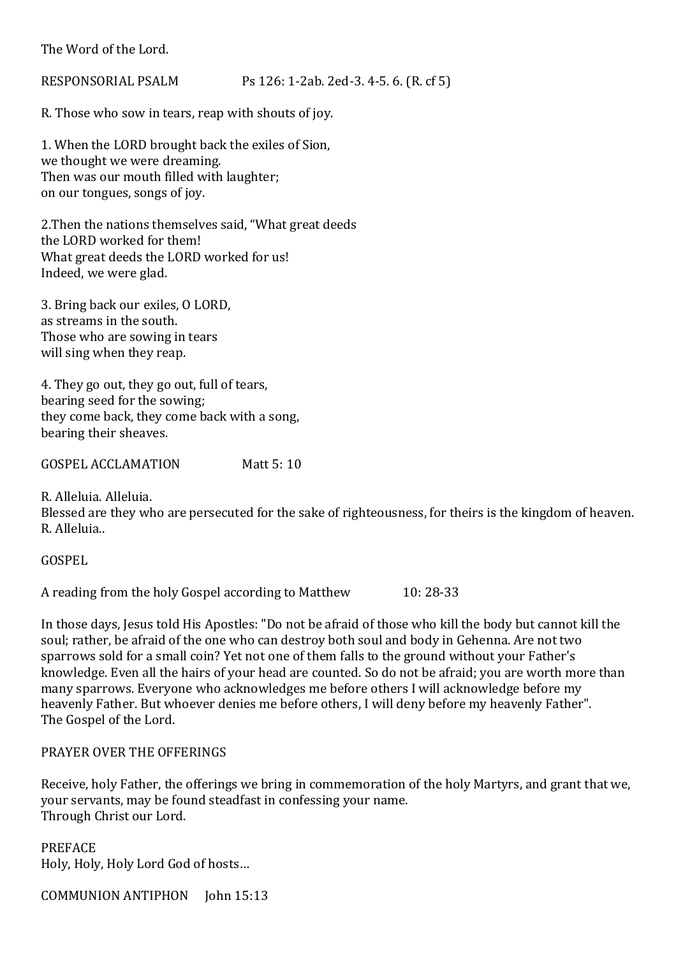The Word of the Lord.

RESPONSORIAL PSALM Ps 126: 1-2ab. 2ed-3. 4-5. 6. (R. cf 5)

R. Those who sow in tears, reap with shouts of joy.

1. When the LORD brought back the exiles of Sion, we thought we were dreaming. Then was our mouth filled with laughter; on our tongues, songs of joy.

2.Then the nations themselves said, "What great deeds the LORD worked for them! What great deeds the LORD worked for us! Indeed, we were glad.

3. Bring back our exiles, O LORD, as streams in the south. Those who are sowing in tears will sing when they reap.

4. They go out, they go out, full of tears, bearing seed for the sowing; they come back, they come back with a song, bearing their sheaves.

GOSPEL ACCLAMATION Matt 5: 10

R. Alleluia. Alleluia.

Blessed are they who are persecuted for the sake of righteousness, for theirs is the kingdom of heaven. R. Alleluia..

GOSPEL

A reading from the holy Gospel according to Matthew 10: 28-33

In those days, Jesus told His Apostles: "Do not be afraid of those who kill the body but cannot kill the soul; rather, be afraid of the one who can destroy both soul and body in Gehenna. Are not two sparrows sold for a small coin? Yet not one of them falls to the ground without your Father's knowledge. Even all the hairs of your head are counted. So do not be afraid; you are worth more than many sparrows. Everyone who acknowledges me before others I will acknowledge before my heavenly Father. But whoever denies me before others, I will deny before my heavenly Father". The Gospel of the Lord.

PRAYER OVER THE OFFERINGS

Receive, holy Father, the offerings we bring in commemoration of the holy Martyrs, and grant that we, your servants, may be found steadfast in confessing your name. Through Christ our Lord.

PREFACE Holy, Holy, Holy Lord God of hosts…

COMMUNION ANTIPHON John 15:13